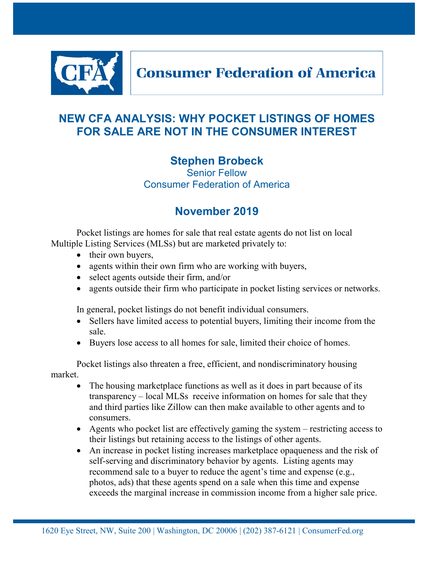

## **Consumer Federation of America**

## **NEW CFA ANALYSIS: WHY POCKET LISTINGS OF HOMES FOR SALE ARE NOT IN THE CONSUMER INTEREST**

## **Stephen Brobeck**

Senior Fellow Consumer Federation of America

## **November 2019**

Pocket listings are homes for sale that real estate agents do not list on local Multiple Listing Services (MLSs) but are marketed privately to:

- their own buyers,
- agents within their own firm who are working with buyers,
- select agents outside their firm, and/or
- agents outside their firm who participate in pocket listing services or networks.

In general, pocket listings do not benefit individual consumers.

- Sellers have limited access to potential buyers, limiting their income from the sale.
- Buyers lose access to all homes for sale, limited their choice of homes.

Pocket listings also threaten a free, efficient, and nondiscriminatory housing market.

- The housing marketplace functions as well as it does in part because of its transparency – local MLSs receive information on homes for sale that they and third parties like Zillow can then make available to other agents and to consumers.
- Agents who pocket list are effectively gaming the system restricting access to their listings but retaining access to the listings of other agents.
- An increase in pocket listing increases marketplace opaqueness and the risk of self-serving and discriminatory behavior by agents. Listing agents may recommend sale to a buyer to reduce the agent's time and expense (e.g., photos, ads) that these agents spend on a sale when this time and expense exceeds the marginal increase in commission income from a higher sale price.